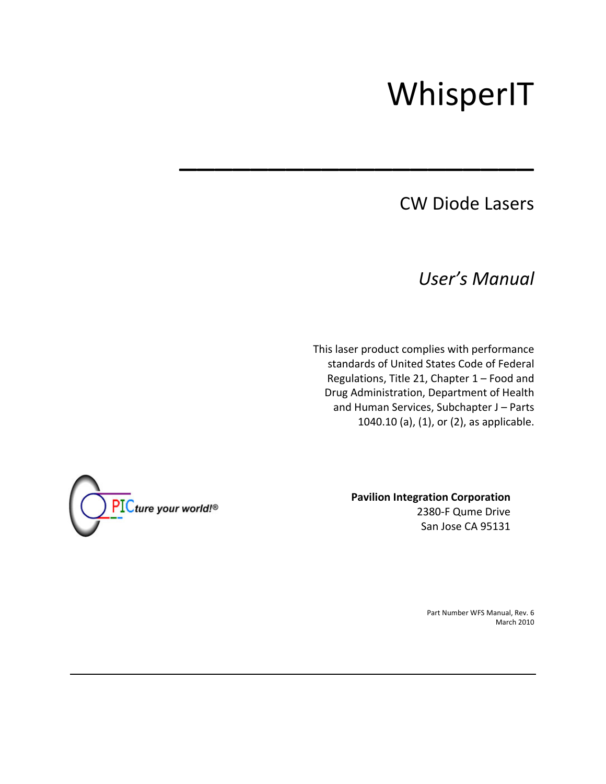# WhisperIT

# CW Diode Lasers

*User's Manual*

This laser product complies with performance standards of United States Code of Federal Regulations, Title 21, Chapter 1 – Food and Drug Administration, Department of Health and Human Services, Subchapter J – Parts 1040.10 (a), (1), or (2), as applicable.

\_\_\_\_\_\_\_\_\_\_\_\_\_\_\_\_\_\_\_\_



**Pavilion Integration Corporation** 2380‐F Qume Drive San Jose CA 95131

> Part Number WFS Manual, Rev. 6 March 2010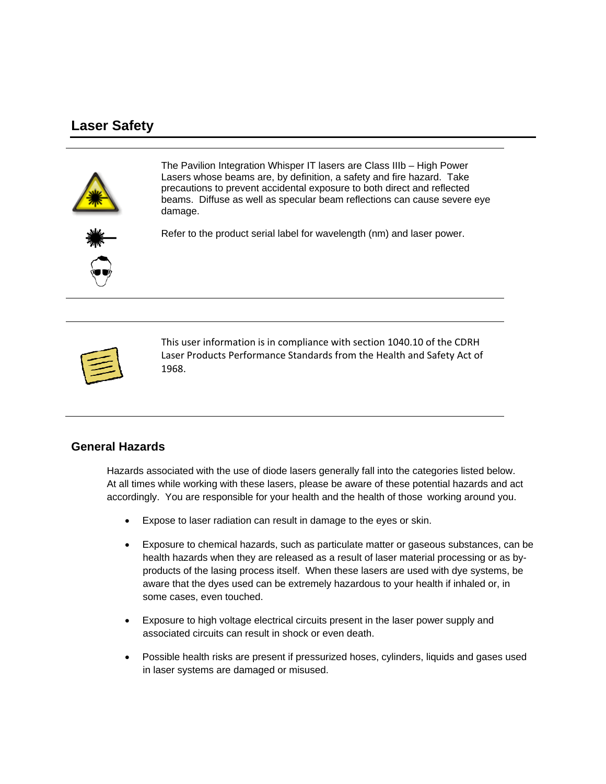## **Laser Safety**



The Pavilion Integration Whisper IT lasers are Class IIIb – High Power Lasers whose beams are, by definition, a safety and fire hazard. Take precautions to prevent accidental exposure to both direct and reflected beams. Diffuse as well as specular beam reflections can cause severe eye damage.



Refer to the product serial label for wavelength (nm) and laser power.



This user information is in compliance with section 1040.10 of the CDRH Laser Products Performance Standards from the Health and Safety Act of 1968.

#### **General Hazards**

 Hazards associated with the use of diode lasers generally fall into the categories listed below. At all times while working with these lasers, please be aware of these potential hazards and act accordingly. You are responsible for your health and the health of those working around you.

- Expose to laser radiation can result in damage to the eyes or skin.
- Exposure to chemical hazards, such as particulate matter or gaseous substances, can be health hazards when they are released as a result of laser material processing or as byproducts of the lasing process itself. When these lasers are used with dye systems, be aware that the dyes used can be extremely hazardous to your health if inhaled or, in some cases, even touched.
- Exposure to high voltage electrical circuits present in the laser power supply and associated circuits can result in shock or even death.
- Possible health risks are present if pressurized hoses, cylinders, liquids and gases used in laser systems are damaged or misused.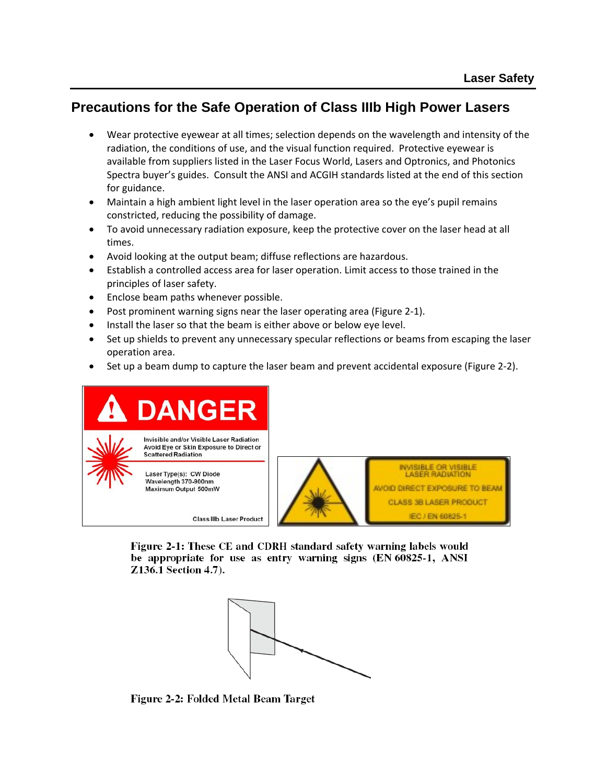## **Precautions for the Safe Operation of Class IIIb High Power Lasers**

- Wear protective eyewear at all times; selection depends on the wavelength and intensity of the radiation, the conditions of use, and the visual function required. Protective eyewear is available from suppliers listed in the Laser Focus World, Lasers and Optronics, and Photonics Spectra buyer's guides. Consult the ANSI and ACGIH standards listed at the end of this section for guidance.
- Maintain a high ambient light level in the laser operation area so the eye's pupil remains constricted, reducing the possibility of damage.
- To avoid unnecessary radiation exposure, keep the protective cover on the laser head at all times.
- Avoid looking at the output beam; diffuse reflections are hazardous.
- Establish a controlled access area for laser operation. Limit access to those trained in the principles of laser safety.
- Enclose beam paths whenever possible.
- Post prominent warning signs near the laser operating area (Figure 2‐1).
- Install the laser so that the beam is either above or below eye level.
- Set up shields to prevent any unnecessary specular reflections or beams from escaping the laser operation area.
- Set up a beam dump to capture the laser beam and prevent accidental exposure (Figure 2‐2).





INVISIBLE OR VISIBLE<br>LASER RADIATION **WOID DIRECT EXPOSURE TO BEAM** CLASS 3B LASER PRODUCT IEC / EN 60825-1

Figure 2-1: These CE and CDRH standard safety warning labels would be appropriate for use as entry warning signs (EN 60825-1, ANSI Z136.1 Section 4.7).



Figure 2-2: Folded Metal Beam Target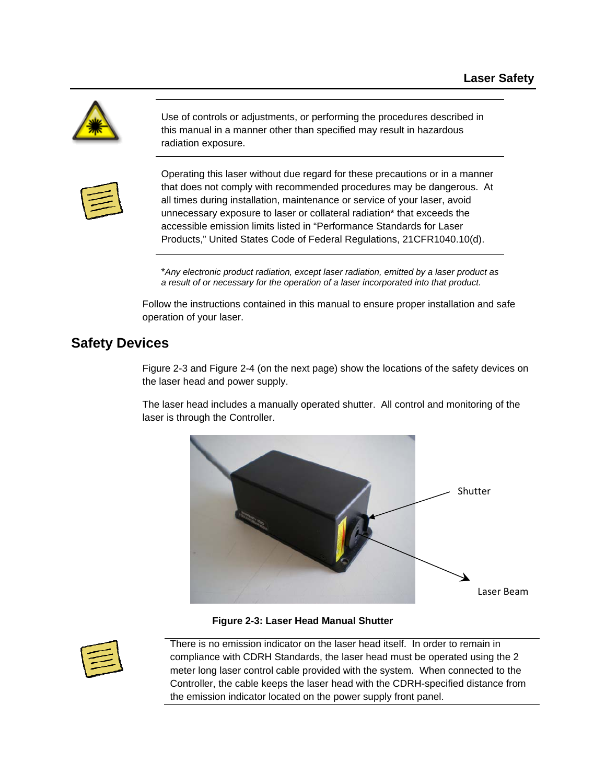

Use of controls or adjustments, or performing the procedures described in this manual in a manner other than specified may result in hazardous radiation exposure.



Operating this laser without due regard for these precautions or in a manner that does not comply with recommended procedures may be dangerous. At all times during installation, maintenance or service of your laser, avoid unnecessary exposure to laser or collateral radiation\* that exceeds the accessible emission limits listed in "Performance Standards for Laser Products," United States Code of Federal Regulations, 21CFR1040.10(d).

\**Any electronic product radiation, except laser radiation, emitted by a laser product as a result of or necessary for the operation of a laser incorporated into that product.*

 Follow the instructions contained in this manual to ensure proper installation and safe operation of your laser.

## **Safety Devices**

Figure 2-3 and Figure 2-4 (on the next page) show the locations of the safety devices on the laser head and power supply.

 The laser head includes a manually operated shutter. All control and monitoring of the laser is through the Controller.



**Figure 2-3: Laser Head Manual Shutter** 



There is no emission indicator on the laser head itself. In order to remain in compliance with CDRH Standards, the laser head must be operated using the 2 meter long laser control cable provided with the system. When connected to the Controller, the cable keeps the laser head with the CDRH-specified distance from the emission indicator located on the power supply front panel.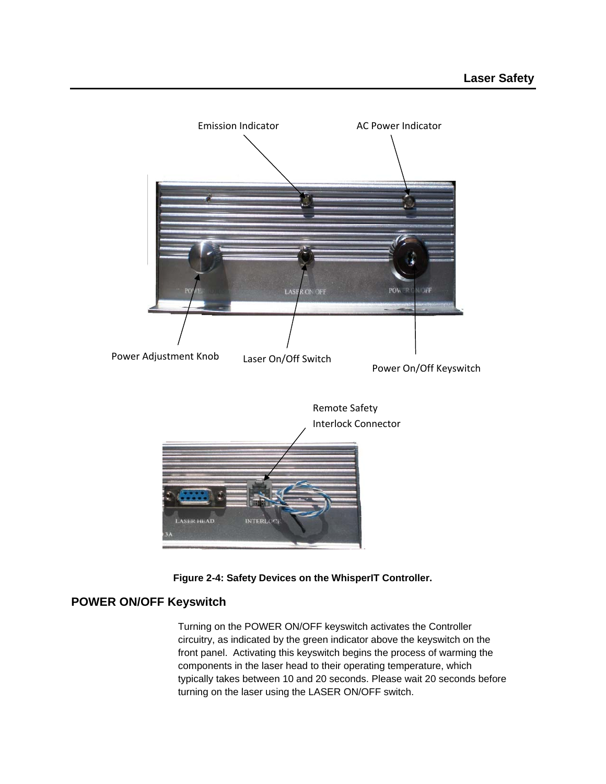



#### **POWER ON/OFF Keyswitch**

Turning on the POWER ON/OFF keyswitch activates the Controller circuitry, as indicated by the green indicator above the keyswitch on the front panel. Activating this keyswitch begins the process of warming the components in the laser head to their operating temperature, which typically takes between 10 and 20 seconds. Please wait 20 seconds before turning on the laser using the LASER ON/OFF switch.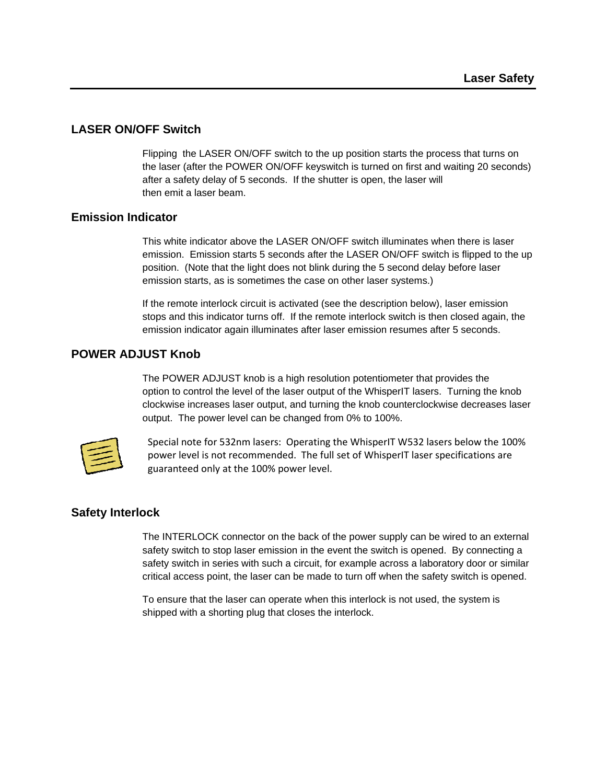#### **LASER ON/OFF Switch**

 Flipping the LASER ON/OFF switch to the up position starts the process that turns on the laser (after the POWER ON/OFF keyswitch is turned on first and waiting 20 seconds) after a safety delay of 5 seconds. If the shutter is open, the laser will then emit a laser beam.

#### **Emission Indicator**

This white indicator above the LASER ON/OFF switch illuminates when there is laser emission. Emission starts 5 seconds after the LASER ON/OFF switch is flipped to the up position. (Note that the light does not blink during the 5 second delay before laser emission starts, as is sometimes the case on other laser systems.)

 If the remote interlock circuit is activated (see the description below), laser emission stops and this indicator turns off. If the remote interlock switch is then closed again, the emission indicator again illuminates after laser emission resumes after 5 seconds.

#### **POWER ADJUST Knob**

The POWER ADJUST knob is a high resolution potentiometer that provides the option to control the level of the laser output of the WhisperIT lasers. Turning the knob clockwise increases laser output, and turning the knob counterclockwise decreases laser output. The power level can be changed from 0% to 100%.



Special note for 532nm lasers: Operating the WhisperIT W532 lasers below the 100% power level is not recommended. The full set of WhisperIT laser specifications are guaranteed only at the 100% power level.

#### **Safety Interlock**

The INTERLOCK connector on the back of the power supply can be wired to an external safety switch to stop laser emission in the event the switch is opened. By connecting a safety switch in series with such a circuit, for example across a laboratory door or similar critical access point, the laser can be made to turn off when the safety switch is opened.

 To ensure that the laser can operate when this interlock is not used, the system is shipped with a shorting plug that closes the interlock.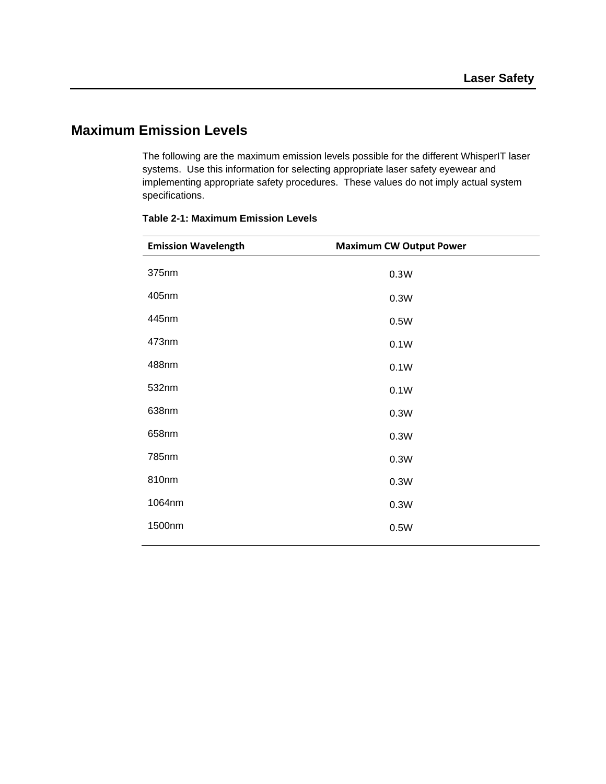## **Maximum Emission Levels**

 The following are the maximum emission levels possible for the different WhisperIT laser systems. Use this information for selecting appropriate laser safety eyewear and implementing appropriate safety procedures. These values do not imply actual system specifications.

| <b>Emission Wavelength</b> | <b>Maximum CW Output Power</b> |  |
|----------------------------|--------------------------------|--|
| 375nm                      | 0.3W                           |  |
| 405nm                      | 0.3W                           |  |
| 445nm                      | 0.5W                           |  |
| 473nm                      | 0.1W                           |  |
| 488nm                      | 0.1W                           |  |
| 532nm                      | 0.1W                           |  |
| 638nm                      | 0.3W                           |  |
| 658nm                      | 0.3W                           |  |
| 785nm                      | 0.3W                           |  |
| 810nm                      | 0.3W                           |  |
| 1064nm                     | 0.3W                           |  |
| 1500nm                     | 0.5W                           |  |
|                            |                                |  |

#### **Table 2-1: Maximum Emission Levels**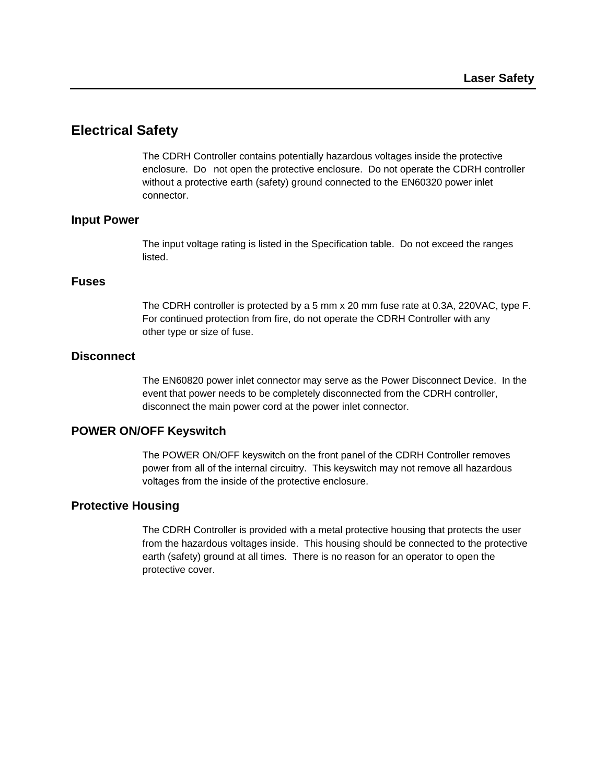## **Electrical Safety**

 The CDRH Controller contains potentially hazardous voltages inside the protective enclosure. Do not open the protective enclosure. Do not operate the CDRH controller without a protective earth (safety) ground connected to the EN60320 power inlet connector.

#### **Input Power**

 The input voltage rating is listed in the Specification table. Do not exceed the ranges listed.

#### **Fuses**

 The CDRH controller is protected by a 5 mm x 20 mm fuse rate at 0.3A, 220VAC, type F. For continued protection from fire, do not operate the CDRH Controller with any other type or size of fuse.

#### **Disconnect**

 The EN60820 power inlet connector may serve as the Power Disconnect Device. In the event that power needs to be completely disconnected from the CDRH controller, disconnect the main power cord at the power inlet connector.

#### **POWER ON/OFF Keyswitch**

The POWER ON/OFF keyswitch on the front panel of the CDRH Controller removes power from all of the internal circuitry. This keyswitch may not remove all hazardous voltages from the inside of the protective enclosure.

#### **Protective Housing**

 The CDRH Controller is provided with a metal protective housing that protects the user from the hazardous voltages inside. This housing should be connected to the protective earth (safety) ground at all times. There is no reason for an operator to open the protective cover.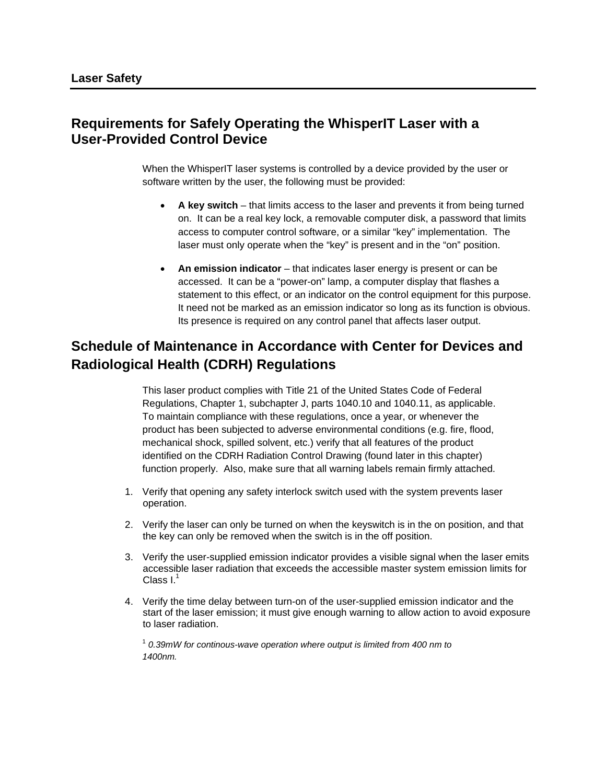## **Requirements for Safely Operating the WhisperIT Laser with a User-Provided Control Device**

 When the WhisperIT laser systems is controlled by a device provided by the user or software written by the user, the following must be provided:

- **A key switch** that limits access to the laser and prevents it from being turned on. It can be a real key lock, a removable computer disk, a password that limits access to computer control software, or a similar "key" implementation. The laser must only operate when the "key" is present and in the "on" position.
- **An emission indicator** that indicates laser energy is present or can be accessed. It can be a "power-on" lamp, a computer display that flashes a statement to this effect, or an indicator on the control equipment for this purpose. It need not be marked as an emission indicator so long as its function is obvious. Its presence is required on any control panel that affects laser output.

## **Schedule of Maintenance in Accordance with Center for Devices and Radiological Health (CDRH) Regulations**

 This laser product complies with Title 21 of the United States Code of Federal Regulations, Chapter 1, subchapter J, parts 1040.10 and 1040.11, as applicable. To maintain compliance with these regulations, once a year, or whenever the product has been subjected to adverse environmental conditions (e.g. fire, flood, mechanical shock, spilled solvent, etc.) verify that all features of the product identified on the CDRH Radiation Control Drawing (found later in this chapter) function properly. Also, make sure that all warning labels remain firmly attached.

- 1. Verify that opening any safety interlock switch used with the system prevents laser operation.
- 2. Verify the laser can only be turned on when the keyswitch is in the on position, and that the key can only be removed when the switch is in the off position.
- 3. Verify the user-supplied emission indicator provides a visible signal when the laser emits accessible laser radiation that exceeds the accessible master system emission limits for Class  $I^1$
- 4. Verify the time delay between turn-on of the user-supplied emission indicator and the start of the laser emission; it must give enough warning to allow action to avoid exposure to laser radiation.

 <sup>1</sup> *0.39mW for continous-wave operation where output is limited from 400 nm to 1400nm.*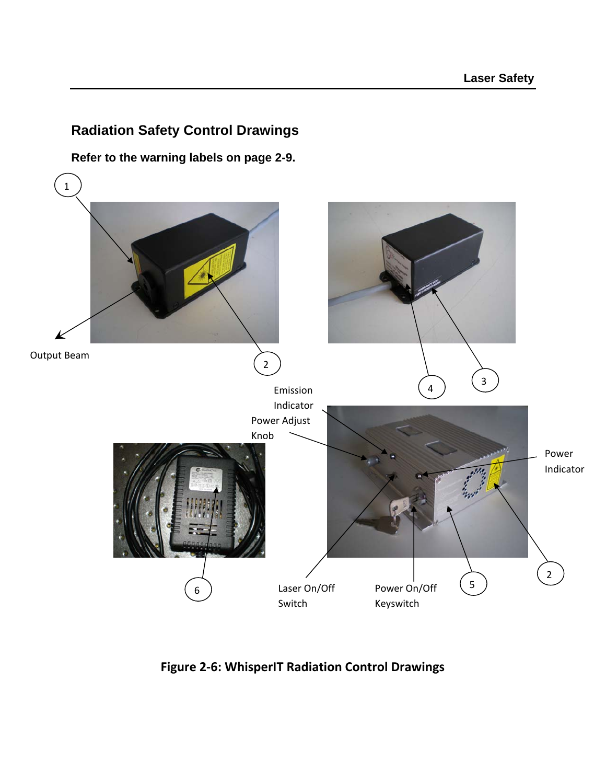## **Radiation Safety Control Drawings**

**Refer to the warning labels on page 2-9.** 



**Figure 2‐6: WhisperIT Radiation Control Drawings**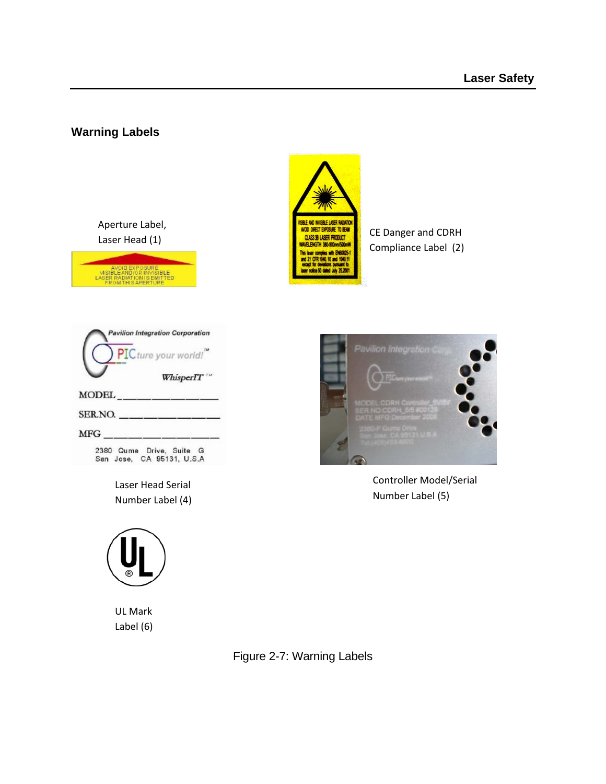### **Warning Labels**

Aperture Label,





Compliance Label (2)

|              | <b>Pavilion Integration Corporation</b><br>PIC ture your world!" |
|--------------|------------------------------------------------------------------|
|              | WhisperIT"                                                       |
| <b>MODEL</b> |                                                                  |
| SERNO.       |                                                                  |
| MFG          |                                                                  |
|              | 2380 Qume Drive, Suite G<br>San Jose, CA 95131, U.S.A            |

Laser Head Serial Number Label (4)



```
UL Mark
Label (6)
```


Controller Model/Serial Number Label (5)

Figure 2-7: Warning Labels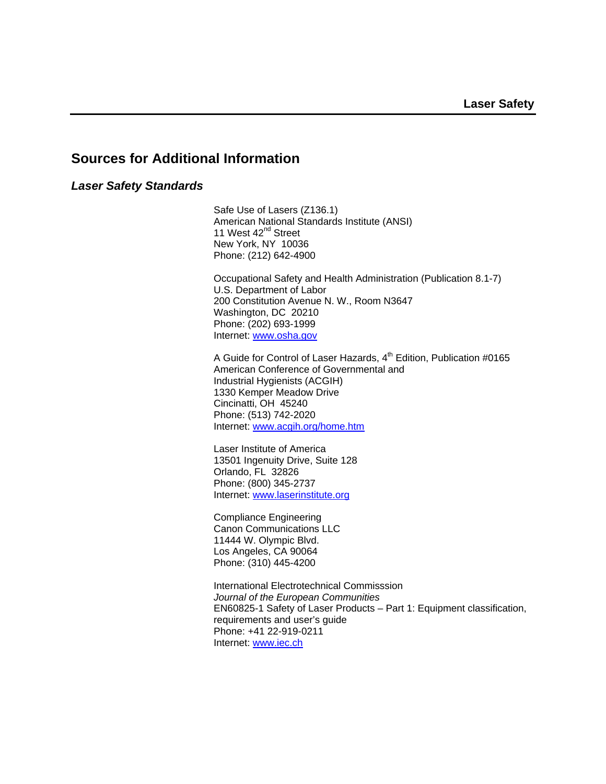## **Sources for Additional Information**

#### *Laser Safety Standards*

 Safe Use of Lasers (Z136.1) American National Standards Institute (ANSI) 11 West 42<sup>nd</sup> Street New York, NY 10036 Phone: (212) 642-4900

 Occupational Safety and Health Administration (Publication 8.1-7) U.S. Department of Labor 200 Constitution Avenue N. W., Room N3647 Washington, DC 20210 Phone: (202) 693-1999 Internet: www.osha.gov

A Guide for Control of Laser Hazards, 4<sup>th</sup> Edition, Publication #0165 American Conference of Governmental and Industrial Hygienists (ACGIH) 1330 Kemper Meadow Drive Cincinatti, OH 45240 Phone: (513) 742-2020 Internet: www.acgih.org/home.htm

 Laser Institute of America 13501 Ingenuity Drive, Suite 128 Orlando, FL 32826 Phone: (800) 345-2737 Internet: www.laserinstitute.org

 Compliance Engineering Canon Communications LLC 11444 W. Olympic Blvd. Los Angeles, CA 90064 Phone: (310) 445-4200

 International Electrotechnical Commisssion *Journal of the European Communities*  EN60825-1 Safety of Laser Products – Part 1: Equipment classification, requirements and user's guide Phone: +41 22-919-0211 Internet: www.iec.ch